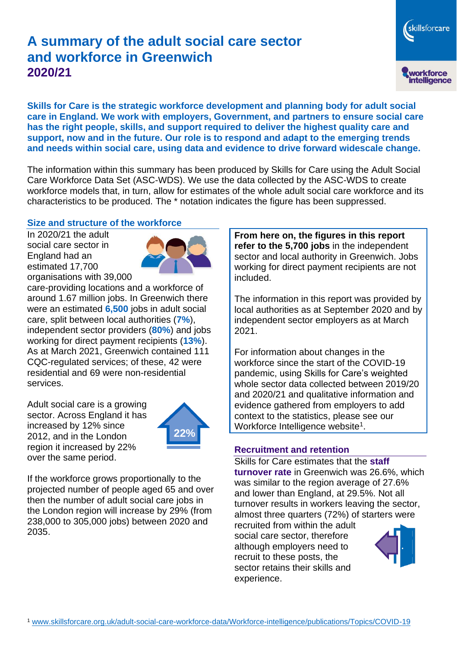# **A summary of the adult social care sector and workforce in Greenwich 2020/21**

skillsforcare workforce<br>intelligence

**Skills for Care is the strategic workforce development and planning body for adult social care in England. We work with employers, Government, and partners to ensure social care has the right people, skills, and support required to deliver the highest quality care and support, now and in the future. Our role is to respond and adapt to the emerging trends and needs within social care, using data and evidence to drive forward widescale change.**

The information within this summary has been produced by Skills for Care using the Adult Social Care Workforce Data Set (ASC-WDS). We use the data collected by the ASC-WDS to create workforce models that, in turn, allow for estimates of the whole adult social care workforce and its characteristics to be produced. The \* notation indicates the figure has been suppressed.

#### **Size and structure of the workforce**

In 2020/21 the adult social care sector in England had an estimated 17,700 organisations with 39,000



care-providing locations and a workforce of around 1.67 million jobs. In Greenwich there were an estimated **6,500** jobs in adult social care, split between local authorities (**7%**), independent sector providers (**80%**) and jobs working for direct payment recipients (**13%**). As at March 2021, Greenwich contained 111 CQC-regulated services; of these, 42 were residential and 69 were non-residential services.

Adult social care is a growing sector. Across England it has increased by 12% since 2012, and in the London region it increased by 22% over the same period.



If the workforce grows proportionally to the projected number of people aged 65 and over then the number of adult social care jobs in the London region will increase by 29% (from 238,000 to 305,000 jobs) between 2020 and 2035.

**From here on, the figures in this report refer to the 5,700 jobs** in the independent sector and local authority in Greenwich. Jobs working for direct payment recipients are not included.

The information in this report was provided by local authorities as at September 2020 and by independent sector employers as at March 2021.

For information about changes in the workforce since the start of the COVID-19 pandemic, using Skills for Care's weighted whole sector data collected between 2019/20 and 2020/21 and qualitative information and evidence gathered from employers to add context to the statistics, please see our Workforce Intelligence website<sup>1</sup>.

#### **Recruitment and retention**

Skills for Care estimates that the **staff turnover rate** in Greenwich was 26.6%, which was similar to the region average of 27.6% and lower than England, at 29.5%. Not all turnover results in workers leaving the sector, almost three quarters (72%) of starters were

recruited from within the adult social care sector, therefore although employers need to recruit to these posts, the sector retains their skills and experience.

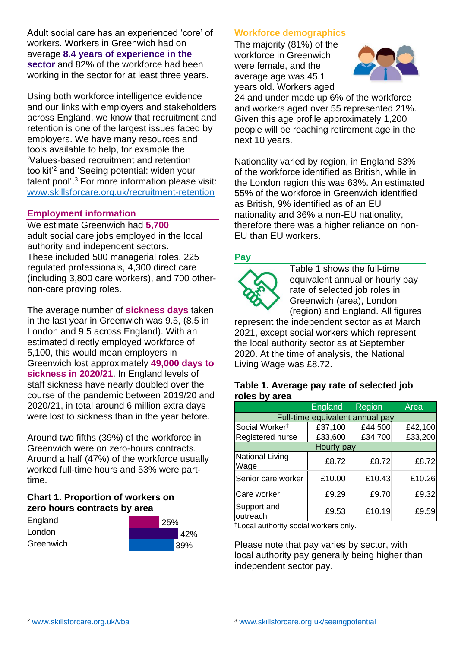Adult social care has an experienced 'core' of workers. Workers in Greenwich had on average **8.4 years of experience in the sector** and 82% of the workforce had been working in the sector for at least three years.

Using both workforce intelligence evidence and our links with employers and stakeholders across England, we know that recruitment and retention is one of the largest issues faced by employers. We have many resources and tools available to help, for example the 'Values-based recruitment and retention toolkit'<sup>2</sup> and 'Seeing potential: widen your talent pool'. <sup>3</sup> For more information please visit: [www.skillsforcare.org.uk/recruitment-retention](http://www.skillsforcare.org.uk/recruitment-retention)

#### **Employment information**

We estimate Greenwich had **5,700** adult social care jobs employed in the local authority and independent sectors. These included 500 managerial roles, 225 regulated professionals, 4,300 direct care (including 3,800 care workers), and 700 othernon-care proving roles.

The average number of **sickness days** taken in the last year in Greenwich was 9.5, (8.5 in London and 9.5 across England). With an estimated directly employed workforce of 5,100, this would mean employers in Greenwich lost approximately **49,000 days to sickness in 2020/21**. In England levels of staff sickness have nearly doubled over the course of the pandemic between 2019/20 and 2020/21, in total around 6 million extra days were lost to sickness than in the year before.

Around two fifths (39%) of the workforce in Greenwich were on zero-hours contracts. Around a half (47%) of the workforce usually worked full-time hours and 53% were parttime.

# **Chart 1. Proportion of workers on zero hours contracts by area**

| England   | 25% |         |
|-----------|-----|---------|
| London    |     | 42%     |
| Greenwich |     | $139\%$ |

# **Workforce demographics**

The majority (81%) of the workforce in Greenwich were female, and the average age was 45.1 years old. Workers aged



24 and under made up 6% of the workforce and workers aged over 55 represented 21%. Given this age profile approximately 1,200 people will be reaching retirement age in the next 10 years.

Nationality varied by region, in England 83% of the workforce identified as British, while in the London region this was 63%. An estimated 55% of the workforce in Greenwich identified as British, 9% identified as of an EU nationality and 36% a non-EU nationality, therefore there was a higher reliance on non-EU than EU workers.

# **Pay**



Table 1 shows the full-time equivalent annual or hourly pay rate of selected job roles in Greenwich (area), London (region) and England. All figures

represent the independent sector as at March 2021, except social workers which represent the local authority sector as at September 2020. At the time of analysis, the National Living Wage was £8.72.

#### **Table 1. Average pay rate of selected job roles by area**

|                                 | <b>England</b> | Region  | Area    |  |
|---------------------------------|----------------|---------|---------|--|
| Full-time equivalent annual pay |                |         |         |  |
| Social Worker <sup>†</sup>      | £37,100        | £44,500 | £42,100 |  |
| Registered nurse                | £33,600        | £34,700 | £33,200 |  |
| Hourly pay                      |                |         |         |  |
| National Living<br>Wage         | £8.72          | £8.72   | £8.72   |  |
| Senior care worker              | £10.00         | £10.43  | £10.26  |  |
| Care worker                     | £9.29          | £9.70   | £9.32   |  |
| Support and<br>outreach         | £9.53          | £10.19  | £9.59   |  |

†Local authority social workers only.

Please note that pay varies by sector, with local authority pay generally being higher than independent sector pay.